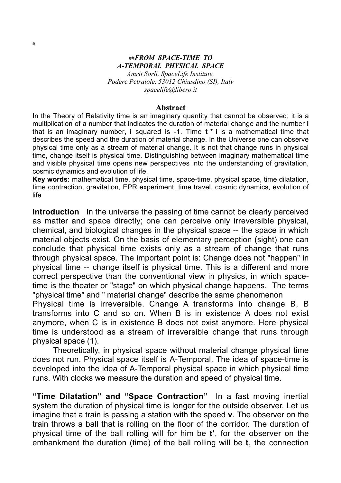## ##*FROM SPACE-TIME TO A-TEMPORAL PHYSICAL SPACE Amrit Sorli, SpaceLife Institute, Podere Petraiole, 53012 Chiusdino (SI), Italy spacelife@libero.it*

Abstract

In the Theory of Relativity time is an imaginary quantity that cannot be observed; it is a multiplication of a number that indicates the duration of material change and the number **i** that is an imaginary number, **i** squared is -1. Time **t \* i** is a mathematical time that describes the speed and the duration of material change. In the Universe one can observe physical time only as a stream of material change. It is not that change runs in physical time, change itself is physical time. Distinguishing between imaginary mathematical time and visible physical time opens new perspectives into the understanding of gravitation, cosmic dynamics and evolution of life.

**Key words:** mathematical time, physical time, space-time, physical space, time dilatation, time contraction, gravitation, EPR experiment, time travel, cosmic dynamics, evolution of life

**Introduction** In the universe the passing of time cannot be clearly perceived as matter and space directly; one can perceive only irreversible physical, chemical, and biological changes in the physical space -- the space in which material objects exist. On the basis of elementary perception (sight) one can conclude that physical time exists only as a stream of change that runs through physical space. The important point is: Change does not "happen" in physical time -- change itself is physical time. This is a different and more correct perspective than the conventional view in physics, in which spacetime is the theater or "stage" on which physical change happens. The terms "physical time" and " material change" describe the same phenomenon

Physical time is irreversible. Change A transforms into change B, B transforms into C and so on. When B is in existence A does not exist anymore, when C is in existence B does not exist anymore. Here physical time is understood as a stream of irreversible change that runs through physical space (1).

Theoretically, in physical space without material change physical time does not run. Physical space itself is A-Temporal. The idea of space-time is developed into the idea of A-Temporal physical space in which physical time runs. With clocks we measure the duration and speed of physical time.

**"Time Dilatation" and "Space Contraction"** In a fast moving inertial system the duration of physical time is longer for the outside observer. Let us imagine that a train is passing a station with the speed **v**. The observer on the train throws a ball that is rolling on the floor of the corridor. The duration of physical time of the ball rolling will for him be **t'**, for the observer on the embankment the duration (time) of the ball rolling will be **t**, the connection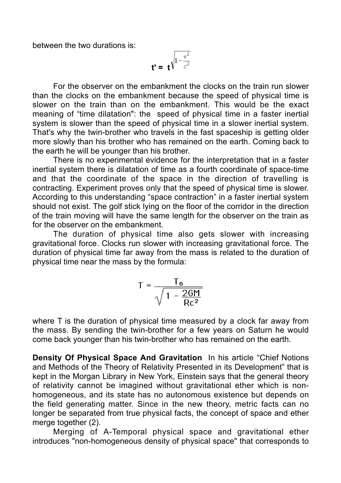between the two durations is:

$$
t' = t^{\sqrt{1-\frac{v^2}{c^2}}}
$$

For the observer on the embankment the clocks on the train run slower than the clocks on the embankment because the speed of physical time is slower on the train than on the embankment. This would be the exact meaning of "time dilatation": the speed of physical time in a faster inertial system is slower than the speed of physical time in a slower inertial system. That's why the twin-brother who travels in the fast spaceship is getting older more slowly than his brother who has remained on the earth. Coming back to the earth he will be younger than his brother.

There is no experimental evidence for the interpretation that in a faster inertial system there is dilatation of time as a fourth coordinate of space-time and that the coordinate of the space in the direction of travelling is contracting. Experiment proves only that the speed of physical time is slower. According to this understanding "space contraction" in a faster inertial system should not exist. The golf stick lying on the floor of the corridor in the direction of the train moving will have the same length for the observer on the train as for the observer on the embankment.

The duration of physical time also gets slower with increasing gravitational force. Clocks run slower with increasing gravitational force. The duration of physical time far away from the mass is related to the duration of physical time near the mass by the formula:

$$
T = \frac{T_0}{\sqrt{1 - \frac{2GM}{Rc^2}}}
$$

where T is the duration of physical time measured by a clock far away from the mass. By sending the twin-brother for a few years on Saturn he would come back younger than his twin-brother who has remained on the earth.

**Density Of Physical Space And Gravitation** In his article "Chief Notions and Methods of the Theory of Relativity Presented in its Development" that is kept in the Morgan Library in New York, Einstein says that the general theory of relativity cannot be imagined without gravitational ether which is nonhomogeneous, and its state has no autonomous existence but depends on the field generating matter. Since in the new theory, metric facts can no longer be separated from true physical facts, the concept of space and ether merge together (2).

Merging of A-Temporal physical space and gravitational ether introduces "non-homogeneous density of physical space" that corresponds to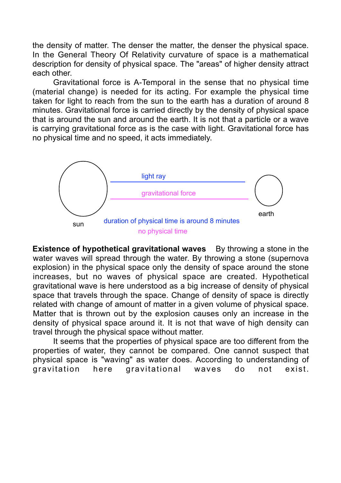the density of matter. The denser the matter, the denser the physical space. In the General Theory Of Relativity curvature of space is a mathematical description for density of physical space. The "areas" of higher density attract each other.

Gravitational force is A-Temporal in the sense that no physical time (material change) is needed for its acting. For example the physical time taken for light to reach from the sun to the earth has a duration of around 8 minutes. Gravitational force is carried directly by the density of physical space that is around the sun and around the earth. It is not that a particle or a wave is carrying gravitational force as is the case with light. Gravitational force has no physical time and no speed, it acts immediately.



**Existence of hypothetical gravitational waves** By throwing a stone in the water waves will spread through the water. By throwing a stone (supernova explosion) in the physical space only the density of space around the stone increases, but no waves of physical space are created. Hypothetical gravitational wave is here understood as a big increase of density of physical space that travels through the space. Change of density of space is directly related with change of amount of matter in a given volume of physical space. Matter that is thrown out by the explosion causes only an increase in the density of physical space around it. It is not that wave of high density can travel through the physical space without matter.

It seems that the properties of physical space are too different from the properties of water, they cannot be compared. One cannot suspect that physical space is "waving" as water does. According to understanding of gravitation here gravitational waves do not exist.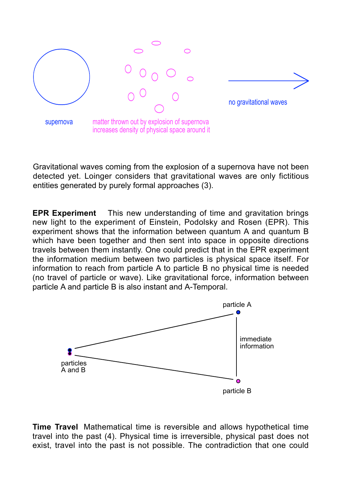

Gravitational waves coming from the explosion of a supernova have not been detected yet. Loinger considers that gravitational waves are only fictitious entities generated by purely formal approaches (3).

**EPR Experiment** This new understanding of time and gravitation brings new light to the experiment of Einstein, Podolsky and Rosen (EPR). This experiment shows that the information between quantum A and quantum B which have been together and then sent into space in opposite directions travels between them instantly. One could predict that in the EPR experiment the information medium between two particles is physical space itself. For information to reach from particle A to particle B no physical time is needed (no travel of particle or wave). Like gravitational force, information between particle A and particle B is also instant and A-Temporal.



**Time Travel** Mathematical time is reversible and allows hypothetical time travel into the past (4). Physical time is irreversible, physical past does not exist, travel into the past is not possible. The contradiction that one could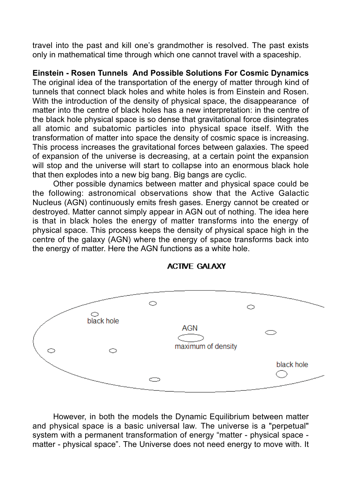travel into the past and kill one's grandmother is resolved. The past exists only in mathematical time through which one cannot travel with a spaceship.

**Einstein - Rosen Tunnels And Possible Solutions For Cosmic Dynamics** The original idea of the transportation of the energy of matter through kind of tunnels that connect black holes and white holes is from Einstein and Rosen. With the introduction of the density of physical space, the disappearance of matter into the centre of black holes has a new interpretation: in the centre of the black hole physical space is so dense that gravitational force disintegrates all atomic and subatomic particles into physical space itself. With the transformation of matter into space the density of cosmic space is increasing. This process increases the gravitational forces between galaxies. The speed of expansion of the universe is decreasing, at a certain point the expansion will stop and the universe will start to collapse into an enormous black hole that then explodes into a new big bang. Big bangs are cyclic.

Other possible dynamics between matter and physical space could be the following: astronomical observations show that the Active Galactic Nucleus (AGN) continuously emits fresh gases. Energy cannot be created or destroyed. Matter cannot simply appear in AGN out of nothing. The idea here is that in black holes the energy of matter transforms into the energy of physical space. This process keeps the density of physical space high in the centre of the galaxy (AGN) where the energy of space transforms back into the energy of matter. Here the AGN functions as a white hole.



## **ACTIVE GALAXY**

However, in both the models the Dynamic Equilibrium between matter and physical space is a basic universal law. The universe is a "perpetual" system with a permanent transformation of energy "matter - physical space matter - physical space". The Universe does not need energy to move with. It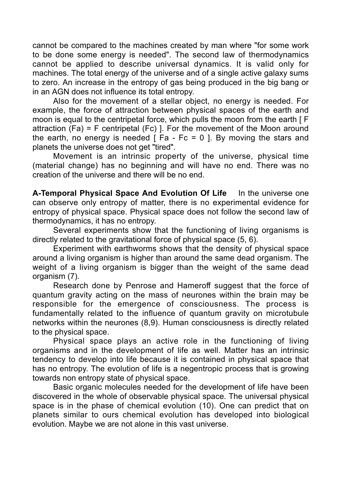cannot be compared to the machines created by man where "for some work to be done some energy is needed". The second law of thermodynamics cannot be applied to describe universal dynamics. It is valid only for machines. The total energy of the universe and of a single active galaxy sums to zero. An increase in the entropy of gas being produced in the big bang or in an AGN does not influence its total entropy.

Also for the movement of a stellar object, no energy is needed. For example, the force of attraction between physical spaces of the earth and moon is equal to the centripetal force, which pulls the moon from the earth [ F attraction (Fa) = F centripetal (Fc) ]. For the movement of the Moon around the earth, no energy is needed  $\lceil$  Fa - Fc = 0  $\rceil$ . By moving the stars and planets the universe does not get "tired".

Movement is an intrinsic property of the universe, physical time (material change) has no beginning and will have no end. There was no creation of the universe and there will be no end.

**A-Temporal Physical Space And Evolution Of Life** In the universe one can observe only entropy of matter, there is no experimental evidence for entropy of physical space. Physical space does not follow the second law of thermodynamics, it has no entropy.

Several experiments show that the functioning of living organisms is directly related to the gravitational force of physical space (5, 6).

Experiment with earthworms shows that the density of physical space around a living organism is higher than around the same dead organism. The weight of a living organism is bigger than the weight of the same dead organism (7).

Research done by Penrose and Hameroff suggest that the force of quantum gravity acting on the mass of neurones within the brain may be responsible for the emergence of consciousness. The process is fundamentally related to the influence of quantum gravity on microtubule networks within the neurones (8,9). Human consciousness is directly related to the physical space.

Physical space plays an active role in the functioning of living organisms and in the development of life as well. Matter has an intrinsic tendency to develop into life because it is contained in physical space that has no entropy. The evolution of life is a negentropic process that is growing towards non entropy state of physical space.

Basic organic molecules needed for the development of life have been discovered in the whole of observable physical space. The universal physical space is in the phase of chemical evolution (10). One can predict that on planets similar to ours chemical evolution has developed into biological evolution. Maybe we are not alone in this vast universe.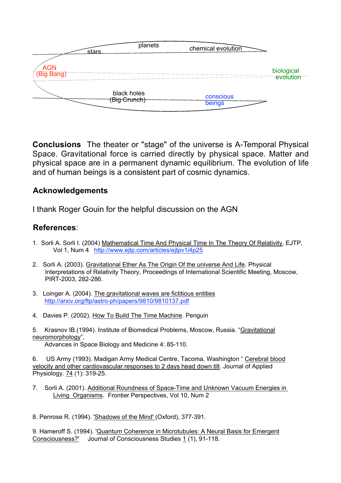|                          | stars | planets                     | chemical evolution  |                         |
|--------------------------|-------|-----------------------------|---------------------|-------------------------|
| <b>AGN</b><br>(Big Bang) |       |                             |                     | biological<br>evolution |
|                          |       | black holes<br>(Big Crunch) | conscious<br>beings |                         |

**Conclusions** The theater or "stage" of the universe is A-Temporal Physical Space. Gravitational force is carried directly by physical space. Matter and physical space are in a permanent dynamic equilibrium. The evolution of life and of human beings is a consistent part of cosmic dynamics.

## **Acknowledgements**

I thank Roger Gouin for the helpful discussion on the AGN

## **References**:

- 1. Sorli A. Sorli I. (2004) Mathematical Time And Physical Time In The Theory Of Relativity, EJTP, Vol 1, Num 4 http://www.ejtp.com/articles/ejtpv1i4p25
- 2. Sorli A. (2003). Gravitational Ether As The Origin Of the universe And Life. Physical Interpretations of Relativity Theory, Proceedings of International Scientific Meeting, Moscow, PIRT-2003, 282-286.
- 3. Loinger A. (2004). The gravitational waves are fictitious entities http://arxiv.org/ftp/astro-ph/papers/9810/9810137.pdf
- 4. Davies P. (2002). How To Build The Time Machine. Penguin
- 5. Krasnov IB.(1994). Institute of Biomedical Problems, Moscow, Russia. "Gravitational neuromorphology",

Advances in Space Biology and Medicine 4: 85-110.

6. US Army (1993). Madigan Army Medical Centre, Tacoma, Washington " Cerebral blood velocity and other cardiovascular responses to 2 days head down tilt. Journal of Applied Physiology. 74 (1): 319-25.

- 7. Sorli A. (2001). Additional Roundness of Space-Time and Unknown Vacuum Energies in Living Organisms. Frontier Perspectives, Vol 10, Num 2
- 8. Penrose R. (1994). 'Shadows of the Mind' (Oxford), 377-391.

9. Hameroff S. (1994). 'Quantum Coherence in Microtubules: A Neural Basis for Emergent Consciousness?' Journal of Consciousness Studies 1 (1), 91-118.